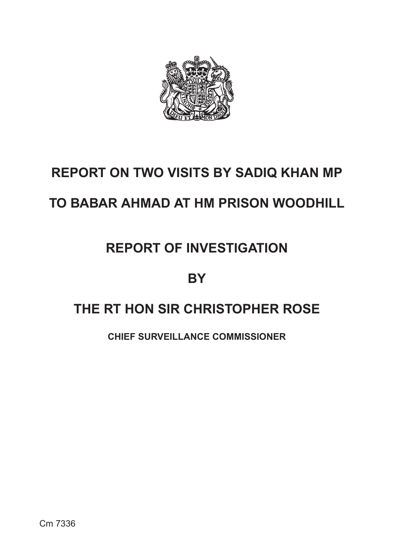

# **REPORT ON TWO VISITS BY SADIQ KHAN MP**

# **TO BABAR AHMAD AT HM PRISON WOODHILL**

# **REPORT OF INVESTIGATION**

### **BY**

## **THE RT HON SIR CHRISTOPHER ROSE**

**CHIEF SURVEILLANCE COMMISSIONER**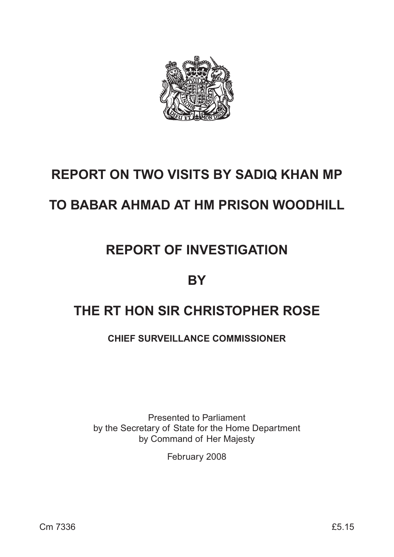

# **REPORT ON TWO VISITS BY SADIQ KHAN MP**

# **TO BABAR AHMAD AT HM PRISON WOODHILL**

# **REPORT OF INVESTIGATION**

## **BY**

## **THE RT HON SIR CHRISTOPHER ROSE**

### **CHIEF SURVEILLANCE COMMISSIONER**

Presented to Parliament by the Secretary of State for the Home Department by Command of Her Majesty

February 2008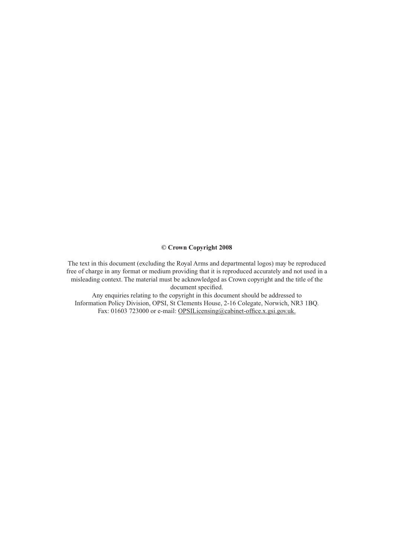#### **© Crown Copyright 2008**

The text in this document (excluding the Royal Arms and departmental logos) may be reproduced free of charge in any format or medium providing that it is reproduced accurately and not used in a misleading context. The material must be acknowledged as Crown copyright and the title of the document specified.

Any enquiries relating to the copyright in this document should be addressed to Information Policy Division, OPSI, St Clements House, 2-16 Colegate, Norwich, NR3 1BQ. Fax: 01603 723000 or e-mail: OPSILicensing@cabinet-office.x.gsi.gov.uk.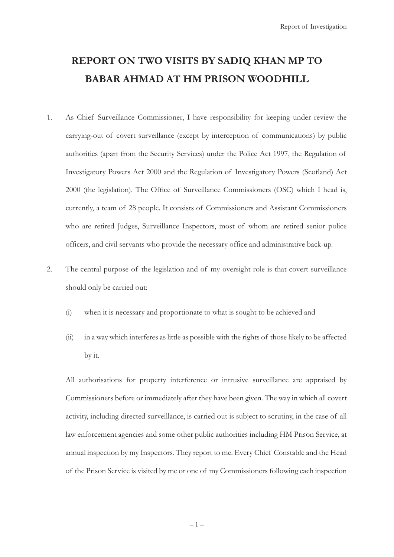### **REPORT ON TWO VISITS BY SADIQ KHAN MP TO BABAR AHMAD AT HM PRISON WOODHILL**

- 1. As Chief Surveillance Commissioner, I have responsibility for keeping under review the carrying-out of covert surveillance (except by interception of communications) by public authorities (apart from the Security Services) under the Police Act 1997, the Regulation of Investigatory Powers Act 2000 and the Regulation of Investigatory Powers (Scotland) Act 2000 (the legislation). The Office of Surveillance Commissioners (OSC) which I head is, currently, a team of 28 people. It consists of Commissioners and Assistant Commissioners who are retired Judges, Surveillance Inspectors, most of whom are retired senior police officers, and civil servants who provide the necessary office and administrative back-up.
- 2. The central purpose of the legislation and of my oversight role is that covert surveillance should only be carried out:
	- (i) when it is necessary and proportionate to what is sought to be achieved and
	- (ii) in a way which interferes as little as possible with the rights of those likely to be affected by it.

 All authorisations for property interference or intrusive surveillance are appraised by Commissioners before or immediately after they have been given. The way in which all covert activity, including directed surveillance, is carried out is subject to scrutiny, in the case of all law enforcement agencies and some other public authorities including HM Prison Service, at annual inspection by my Inspectors. They report to me. Every Chief Constable and the Head of the Prison Service is visited by me or one of my Commissioners following each inspection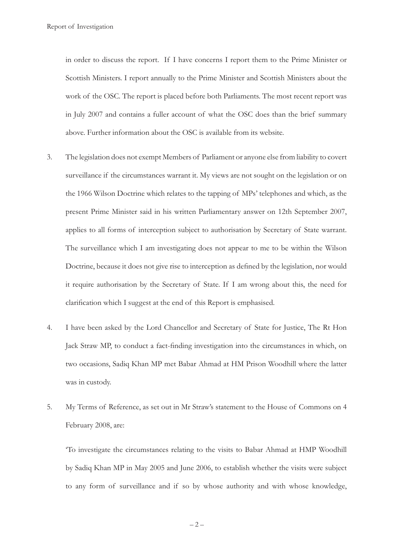in order to discuss the report. If I have concerns I report them to the Prime Minister or Scottish Ministers. I report annually to the Prime Minister and Scottish Ministers about the work of the OSC. The report is placed before both Parliaments. The most recent report was in July 2007 and contains a fuller account of what the OSC does than the brief summary above. Further information about the OSC is available from its website.

- 3. The legislation does not exempt Members of Parliament or anyone else from liability to covert surveillance if the circumstances warrant it. My views are not sought on the legislation or on the 1966 Wilson Doctrine which relates to the tapping of MPs' telephones and which, as the present Prime Minister said in his written Parliamentary answer on 12th September 2007, applies to all forms of interception subject to authorisation by Secretary of State warrant. The surveillance which I am investigating does not appear to me to be within the Wilson Doctrine, because it does not give rise to interception as defined by the legislation, nor would it require authorisation by the Secretary of State. If I am wrong about this, the need for clarification which I suggest at the end of this Report is emphasised.
- 4. I have been asked by the Lord Chancellor and Secretary of State for Justice, The Rt Hon Jack Straw MP, to conduct a fact-finding investigation into the circumstances in which, on two occasions, Sadiq Khan MP met Babar Ahmad at HM Prison Woodhill where the latter was in custody.
- 5. My Terms of Reference, as set out in Mr Straw's statement to the House of Commons on 4 February 2008, are:

 'To investigate the circumstances relating to the visits to Babar Ahmad at HMP Woodhill by Sadiq Khan MP in May 2005 and June 2006, to establish whether the visits were subject to any form of surveillance and if so by whose authority and with whose knowledge,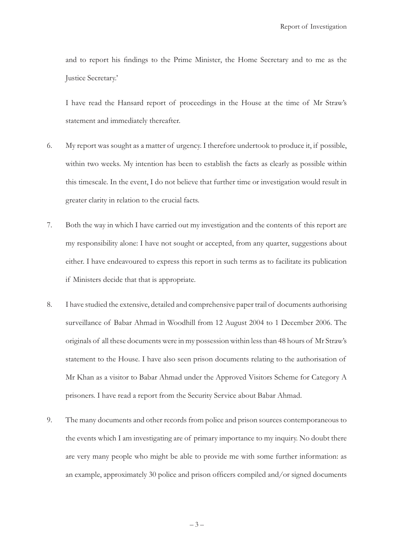and to report his findings to the Prime Minister, the Home Secretary and to me as the Justice Secretary.'

 I have read the Hansard report of proceedings in the House at the time of Mr Straw's statement and immediately thereafter.

- 6. My report was sought as a matter of urgency. I therefore undertook to produce it, if possible, within two weeks. My intention has been to establish the facts as clearly as possible within this timescale. In the event, I do not believe that further time or investigation would result in greater clarity in relation to the crucial facts.
- 7. Both the way in which I have carried out my investigation and the contents of this report are my responsibility alone: I have not sought or accepted, from any quarter, suggestions about either. I have endeavoured to express this report in such terms as to facilitate its publication if Ministers decide that that is appropriate.
- 8. I have studied the extensive, detailed and comprehensive paper trail of documents authorising surveillance of Babar Ahmad in Woodhill from 12 August 2004 to 1 December 2006. The originals of all these documents were in my possession within less than 48 hours of Mr Straw's statement to the House. I have also seen prison documents relating to the authorisation of Mr Khan as a visitor to Babar Ahmad under the Approved Visitors Scheme for Category A prisoners. I have read a report from the Security Service about Babar Ahmad.
- 9. The many documents and other records from police and prison sources contemporaneous to the events which I am investigating are of primary importance to my inquiry. No doubt there are very many people who might be able to provide me with some further information: as an example, approximately 30 police and prison officers compiled and/or signed documents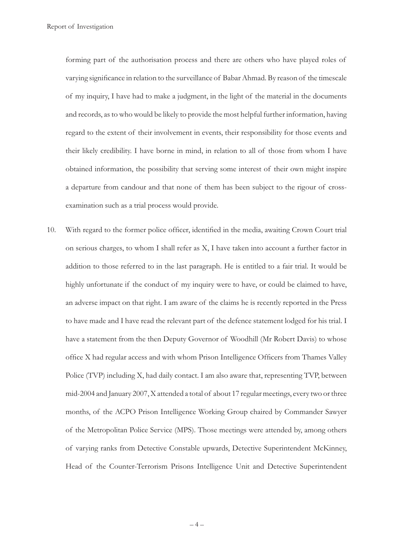forming part of the authorisation process and there are others who have played roles of varying significance in relation to the surveillance of Babar Ahmad. By reason of the timescale of my inquiry, I have had to make a judgment, in the light of the material in the documents and records, as to who would be likely to provide the most helpful further information, having regard to the extent of their involvement in events, their responsibility for those events and their likely credibility. I have borne in mind, in relation to all of those from whom I have obtained information, the possibility that serving some interest of their own might inspire a departure from candour and that none of them has been subject to the rigour of crossexamination such as a trial process would provide.

10. With regard to the former police officer, identified in the media, awaiting Crown Court trial on serious charges, to whom I shall refer as X, I have taken into account a further factor in addition to those referred to in the last paragraph. He is entitled to a fair trial. It would be highly unfortunate if the conduct of my inquiry were to have, or could be claimed to have, an adverse impact on that right. I am aware of the claims he is recently reported in the Press to have made and I have read the relevant part of the defence statement lodged for his trial. I have a statement from the then Deputy Governor of Woodhill (Mr Robert Davis) to whose office X had regular access and with whom Prison Intelligence Officers from Thames Valley Police (TVP) including X, had daily contact. I am also aware that, representing TVP, between mid-2004 and January 2007, X attended a total of about 17 regular meetings, every two or three months, of the ACPO Prison Intelligence Working Group chaired by Commander Sawyer of the Metropolitan Police Service (MPS). Those meetings were attended by, among others of varying ranks from Detective Constable upwards, Detective Superintendent McKinney, Head of the Counter-Terrorism Prisons Intelligence Unit and Detective Superintendent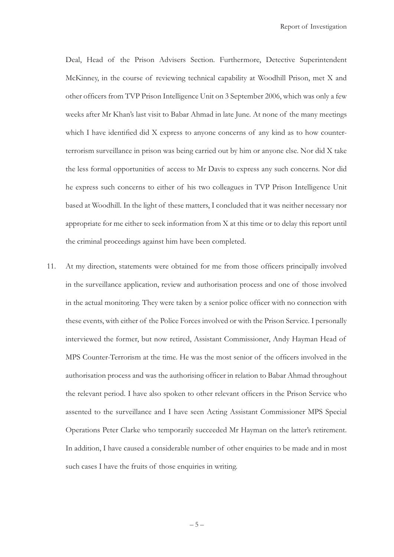Deal, Head of the Prison Advisers Section. Furthermore, Detective Superintendent McKinney, in the course of reviewing technical capability at Woodhill Prison, met X and other officers from TVP Prison Intelligence Unit on 3 September 2006, which was only a few weeks after Mr Khan's last visit to Babar Ahmad in late June. At none of the many meetings which I have identified did X express to anyone concerns of any kind as to how counterterrorism surveillance in prison was being carried out by him or anyone else. Nor did X take the less formal opportunities of access to Mr Davis to express any such concerns. Nor did he express such concerns to either of his two colleagues in TVP Prison Intelligence Unit based at Woodhill. In the light of these matters, I concluded that it was neither necessary nor appropriate for me either to seek information from X at this time or to delay this report until the criminal proceedings against him have been completed.

11. At my direction, statements were obtained for me from those officers principally involved in the surveillance application, review and authorisation process and one of those involved in the actual monitoring. They were taken by a senior police officer with no connection with these events, with either of the Police Forces involved or with the Prison Service. I personally interviewed the former, but now retired, Assistant Commissioner, Andy Hayman Head of MPS Counter-Terrorism at the time. He was the most senior of the officers involved in the authorisation process and was the authorising officer in relation to Babar Ahmad throughout the relevant period. I have also spoken to other relevant officers in the Prison Service who assented to the surveillance and I have seen Acting Assistant Commissioner MPS Special Operations Peter Clarke who temporarily succeeded Mr Hayman on the latter's retirement. In addition, I have caused a considerable number of other enquiries to be made and in most such cases I have the fruits of those enquiries in writing.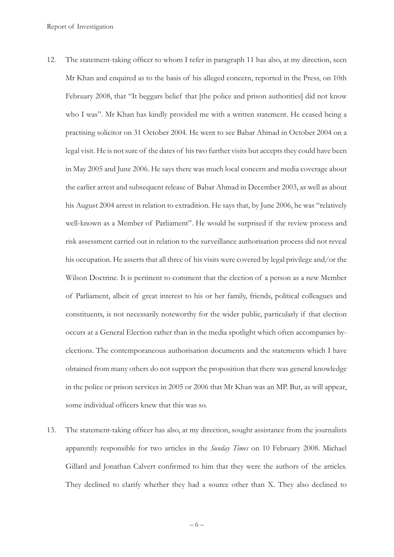- 12. The statement-taking officer to whom I refer in paragraph 11 has also, at my direction, seen Mr Khan and enquired as to the basis of his alleged concern, reported in the Press, on 10th February 2008, that "It beggars belief that [the police and prison authorities] did not know who I was". Mr Khan has kindly provided me with a written statement. He ceased being a practising solicitor on 31 October 2004. He went to see Babar Ahmad in October 2004 on a legal visit. He is not sure of the dates of his two further visits but accepts they could have been in May 2005 and June 2006. He says there was much local concern and media coverage about the earlier arrest and subsequent release of Babar Ahmad in December 2003, as well as about his August 2004 arrest in relation to extradition. He says that, by June 2006, he was "relatively well-known as a Member of Parliament". He would be surprised if the review process and risk assessment carried out in relation to the surveillance authorisation process did not reveal his occupation. He asserts that all three of his visits were covered by legal privilege and/or the Wilson Doctrine. It is pertinent to comment that the election of a person as a new Member of Parliament, albeit of great interest to his or her family, friends, political colleagues and constituents, is not necessarily noteworthy for the wider public, particularly if that election occurs at a General Election rather than in the media spotlight which often accompanies byelections. The contemporaneous authorisation documents and the statements which I have obtained from many others do not support the proposition that there was general knowledge in the police or prison services in 2005 or 2006 that Mr Khan was an MP. But, as will appear, some individual officers knew that this was so.
- 13. The statement-taking officer has also, at my direction, sought assistance from the journalists apparently responsible for two articles in the *Sunday Times* on 10 February 2008. Michael Gillard and Jonathan Calvert confirmed to him that they were the authors of the articles. They declined to clarify whether they had a source other than X. They also declined to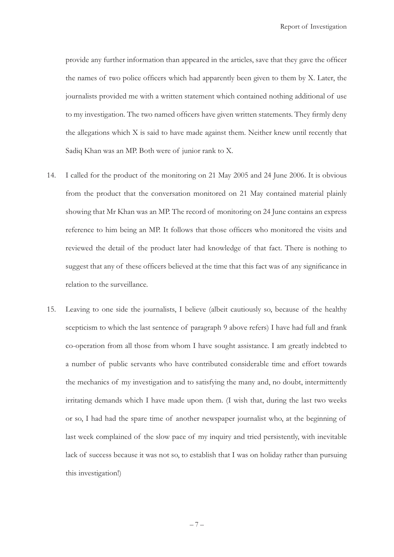provide any further information than appeared in the articles, save that they gave the officer the names of two police officers which had apparently been given to them by X. Later, the journalists provided me with a written statement which contained nothing additional of use to my investigation. The two named officers have given written statements. They firmly deny the allegations which X is said to have made against them. Neither knew until recently that Sadiq Khan was an MP. Both were of junior rank to X.

- 14. I called for the product of the monitoring on 21 May 2005 and 24 June 2006. It is obvious from the product that the conversation monitored on 21 May contained material plainly showing that Mr Khan was an MP. The record of monitoring on 24 June contains an express reference to him being an MP. It follows that those officers who monitored the visits and reviewed the detail of the product later had knowledge of that fact. There is nothing to suggest that any of these officers believed at the time that this fact was of any significance in relation to the surveillance.
- 15. Leaving to one side the journalists, I believe (albeit cautiously so, because of the healthy scepticism to which the last sentence of paragraph 9 above refers) I have had full and frank co-operation from all those from whom I have sought assistance. I am greatly indebted to a number of public servants who have contributed considerable time and effort towards the mechanics of my investigation and to satisfying the many and, no doubt, intermittently irritating demands which I have made upon them. (I wish that, during the last two weeks or so, I had had the spare time of another newspaper journalist who, at the beginning of last week complained of the slow pace of my inquiry and tried persistently, with inevitable lack of success because it was not so, to establish that I was on holiday rather than pursuing this investigation!)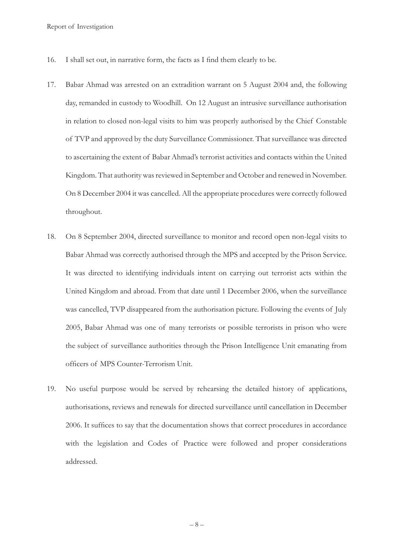- 16. I shall set out, in narrative form, the facts as I find them clearly to be.
- 17. Babar Ahmad was arrested on an extradition warrant on 5 August 2004 and, the following day, remanded in custody to Woodhill. On 12 August an intrusive surveillance authorisation in relation to closed non-legal visits to him was properly authorised by the Chief Constable of TVP and approved by the duty Surveillance Commissioner. That surveillance was directed to ascertaining the extent of Babar Ahmad's terrorist activities and contacts within the United Kingdom. That authority was reviewed in September and October and renewed in November. On 8 December 2004 it was cancelled. All the appropriate procedures were correctly followed throughout.
- 18. On 8 September 2004, directed surveillance to monitor and record open non-legal visits to Babar Ahmad was correctly authorised through the MPS and accepted by the Prison Service. It was directed to identifying individuals intent on carrying out terrorist acts within the United Kingdom and abroad. From that date until 1 December 2006, when the surveillance was cancelled, TVP disappeared from the authorisation picture. Following the events of July 2005, Babar Ahmad was one of many terrorists or possible terrorists in prison who were the subject of surveillance authorities through the Prison Intelligence Unit emanating from officers of MPS Counter-Terrorism Unit.
- 19. No useful purpose would be served by rehearsing the detailed history of applications, authorisations, reviews and renewals for directed surveillance until cancellation in December 2006. It suffices to say that the documentation shows that correct procedures in accordance with the legislation and Codes of Practice were followed and proper considerations addressed.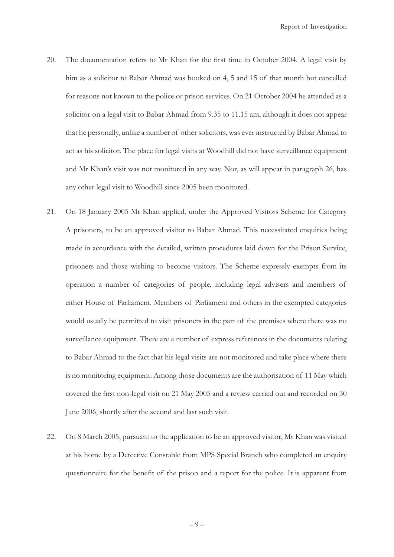- 20. The documentation refers to Mr Khan for the first time in October 2004. A legal visit by him as a solicitor to Babar Ahmad was booked on 4, 5 and 15 of that month but cancelled for reasons not known to the police or prison services. On 21 October 2004 he attended as a solicitor on a legal visit to Babar Ahmad from 9.35 to 11.15 am, although it does not appear that he personally, unlike a number of other solicitors, was ever instructed by Babar Ahmad to act as his solicitor. The place for legal visits at Woodhill did not have surveillance equipment and Mr Khan's visit was not monitored in any way. Nor, as will appear in paragraph 26, has any other legal visit to Woodhill since 2005 been monitored.
- 21. On 18 January 2005 Mr Khan applied, under the Approved Visitors Scheme for Category A prisoners, to be an approved visitor to Babar Ahmad. This necessitated enquiries being made in accordance with the detailed, written procedures laid down for the Prison Service, prisoners and those wishing to become visitors. The Scheme expressly exempts from its operation a number of categories of people, including legal advisers and members of either House of Parliament. Members of Parliament and others in the exempted categories would usually be permitted to visit prisoners in the part of the premises where there was no surveillance equipment. There are a number of express references in the documents relating to Babar Ahmad to the fact that his legal visits are not monitored and take place where there is no monitoring equipment. Among those documents are the authorisation of 11 May which covered the first non-legal visit on 21 May 2005 and a review carried out and recorded on 30 June 2006, shortly after the second and last such visit.
- 22. On 8 March 2005, pursuant to the application to be an approved visitor, Mr Khan was visited at his home by a Detective Constable from MPS Special Branch who completed an enquiry questionnaire for the benefit of the prison and a report for the police. It is apparent from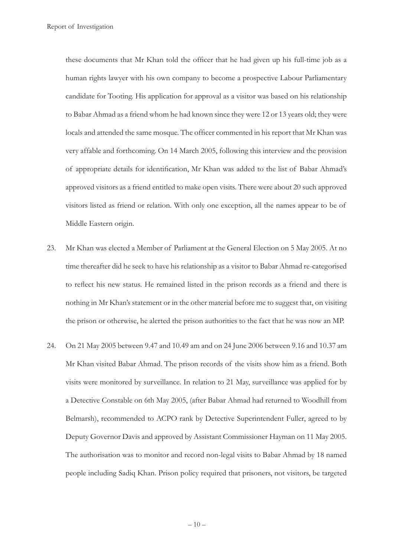these documents that Mr Khan told the officer that he had given up his full-time job as a human rights lawyer with his own company to become a prospective Labour Parliamentary candidate for Tooting. His application for approval as a visitor was based on his relationship to Babar Ahmad as a friend whom he had known since they were 12 or 13 years old; they were locals and attended the same mosque. The officer commented in his report that Mr Khan was very affable and forthcoming. On 14 March 2005, following this interview and the provision of appropriate details for identification, Mr Khan was added to the list of Babar Ahmad's approved visitors as a friend entitled to make open visits. There were about 20 such approved visitors listed as friend or relation. With only one exception, all the names appear to be of Middle Eastern origin.

- 23. Mr Khan was elected a Member of Parliament at the General Election on 5 May 2005. At no time thereafter did he seek to have his relationship as a visitor to Babar Ahmad re-categorised to reflect his new status. He remained listed in the prison records as a friend and there is nothing in Mr Khan's statement or in the other material before me to suggest that, on visiting the prison or otherwise, he alerted the prison authorities to the fact that he was now an MP.
- 24. On 21 May 2005 between 9.47 and 10.49 am and on 24 June 2006 between 9.16 and 10.37 am Mr Khan visited Babar Ahmad. The prison records of the visits show him as a friend. Both visits were monitored by surveillance. In relation to 21 May, surveillance was applied for by a Detective Constable on 6th May 2005, (after Babar Ahmad had returned to Woodhill from Belmarsh), recommended to ACPO rank by Detective Superintendent Fuller, agreed to by Deputy Governor Davis and approved by Assistant Commissioner Hayman on 11 May 2005. The authorisation was to monitor and record non-legal visits to Babar Ahmad by 18 named people including Sadiq Khan. Prison policy required that prisoners, not visitors, be targeted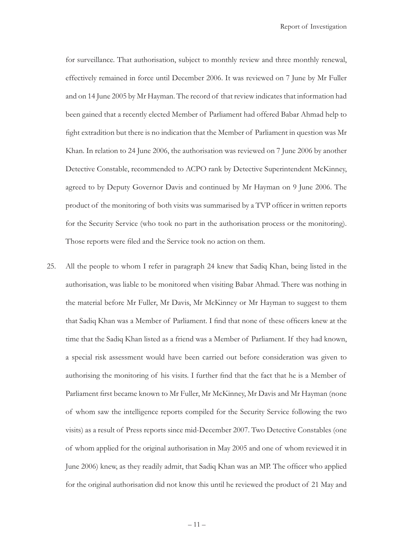for surveillance. That authorisation, subject to monthly review and three monthly renewal, effectively remained in force until December 2006. It was reviewed on 7 June by Mr Fuller and on 14 June 2005 by Mr Hayman. The record of that review indicates that information had been gained that a recently elected Member of Parliament had offered Babar Ahmad help to fight extradition but there is no indication that the Member of Parliament in question was Mr Khan. In relation to 24 June 2006, the authorisation was reviewed on 7 June 2006 by another Detective Constable, recommended to ACPO rank by Detective Superintendent McKinney, agreed to by Deputy Governor Davis and continued by Mr Hayman on 9 June 2006. The product of the monitoring of both visits was summarised by a TVP officer in written reports for the Security Service (who took no part in the authorisation process or the monitoring). Those reports were filed and the Service took no action on them.

25. All the people to whom I refer in paragraph 24 knew that Sadiq Khan, being listed in the authorisation, was liable to be monitored when visiting Babar Ahmad. There was nothing in the material before Mr Fuller, Mr Davis, Mr McKinney or Mr Hayman to suggest to them that Sadiq Khan was a Member of Parliament. I find that none of these officers knew at the time that the Sadiq Khan listed as a friend was a Member of Parliament. If they had known, a special risk assessment would have been carried out before consideration was given to authorising the monitoring of his visits. I further find that the fact that he is a Member of Parliament first became known to Mr Fuller, Mr McKinney, Mr Davis and Mr Hayman (none of whom saw the intelligence reports compiled for the Security Service following the two visits) as a result of Press reports since mid-December 2007. Two Detective Constables (one of whom applied for the original authorisation in May 2005 and one of whom reviewed it in June 2006) knew, as they readily admit, that Sadiq Khan was an MP. The officer who applied for the original authorisation did not know this until he reviewed the product of 21 May and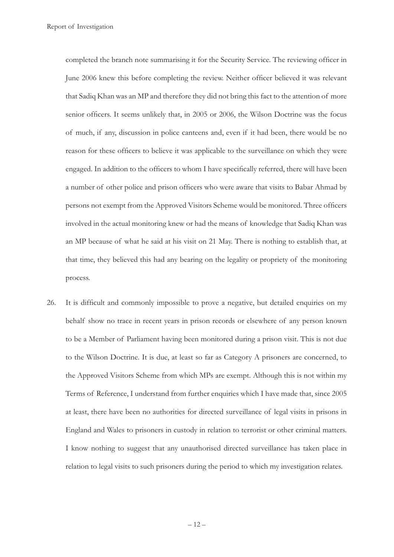completed the branch note summarising it for the Security Service. The reviewing officer in June 2006 knew this before completing the review. Neither officer believed it was relevant that Sadiq Khan was an MP and therefore they did not bring this fact to the attention of more senior officers. It seems unlikely that, in 2005 or 2006, the Wilson Doctrine was the focus of much, if any, discussion in police canteens and, even if it had been, there would be no reason for these officers to believe it was applicable to the surveillance on which they were engaged. In addition to the officers to whom I have specifically referred, there will have been a number of other police and prison officers who were aware that visits to Babar Ahmad by persons not exempt from the Approved Visitors Scheme would be monitored. Three officers involved in the actual monitoring knew or had the means of knowledge that Sadiq Khan was an MP because of what he said at his visit on 21 May. There is nothing to establish that, at that time, they believed this had any bearing on the legality or propriety of the monitoring process.

26. It is difficult and commonly impossible to prove a negative, but detailed enquiries on my behalf show no trace in recent years in prison records or elsewhere of any person known to be a Member of Parliament having been monitored during a prison visit. This is not due to the Wilson Doctrine. It is due, at least so far as Category A prisoners are concerned, to the Approved Visitors Scheme from which MPs are exempt. Although this is not within my Terms of Reference, I understand from further enquiries which I have made that, since 2005 at least, there have been no authorities for directed surveillance of legal visits in prisons in England and Wales to prisoners in custody in relation to terrorist or other criminal matters. I know nothing to suggest that any unauthorised directed surveillance has taken place in relation to legal visits to such prisoners during the period to which my investigation relates.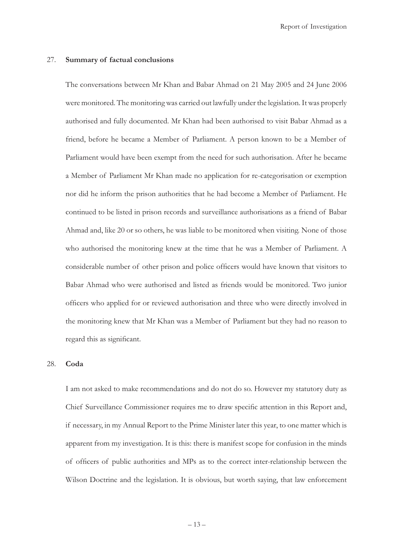#### 27. **Summary of factual conclusions**

 The conversations between Mr Khan and Babar Ahmad on 21 May 2005 and 24 June 2006 were monitored. The monitoring was carried out lawfully under the legislation. It was properly authorised and fully documented. Mr Khan had been authorised to visit Babar Ahmad as a friend, before he became a Member of Parliament. A person known to be a Member of Parliament would have been exempt from the need for such authorisation. After he became a Member of Parliament Mr Khan made no application for re-categorisation or exemption nor did he inform the prison authorities that he had become a Member of Parliament. He continued to be listed in prison records and surveillance authorisations as a friend of Babar Ahmad and, like 20 or so others, he was liable to be monitored when visiting. None of those who authorised the monitoring knew at the time that he was a Member of Parliament. A considerable number of other prison and police officers would have known that visitors to Babar Ahmad who were authorised and listed as friends would be monitored. Two junior officers who applied for or reviewed authorisation and three who were directly involved in the monitoring knew that Mr Khan was a Member of Parliament but they had no reason to regard this as significant.

#### 28. **Coda**

 I am not asked to make recommendations and do not do so. However my statutory duty as Chief Surveillance Commissioner requires me to draw specific attention in this Report and, if necessary, in my Annual Report to the Prime Minister later this year, to one matter which is apparent from my investigation. It is this: there is manifest scope for confusion in the minds of officers of public authorities and MPs as to the correct inter-relationship between the Wilson Doctrine and the legislation. It is obvious, but worth saying, that law enforcement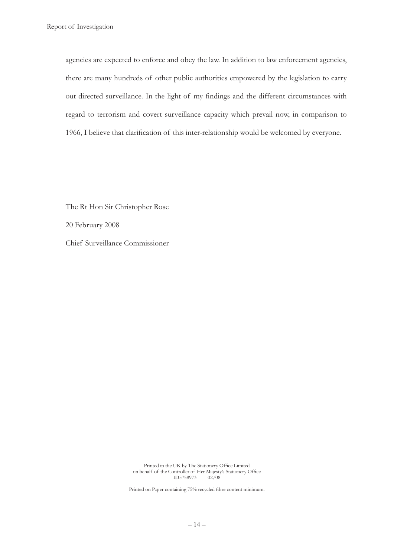agencies are expected to enforce and obey the law. In addition to law enforcement agencies, there are many hundreds of other public authorities empowered by the legislation to carry out directed surveillance. In the light of my findings and the different circumstances with regard to terrorism and covert surveillance capacity which prevail now, in comparison to 1966, I believe that clarification of this inter-relationship would be welcomed by everyone.

 The Rt Hon Sir Christopher Rose 20 February 2008 Chief Surveillance Commissioner

> Printed in the UK by The Stationery Office Limited on behalf of the Controller of Her Majesty's Stationery Office<br>ID5758973 02/08 ID5758973 02/08

Printed on Paper containing 75% recycled fibre content minimum.